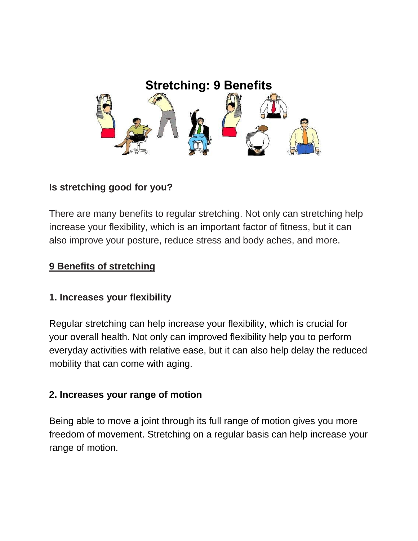

# **Is stretching good for you?**

There are many benefits to regular stretching. Not only can stretching help increase your flexibility, which is an important factor of fitness, but it can also improve your posture, reduce stress and body aches, and more.

### **9 Benefits of stretching**

### **1. Increases your flexibility**

[Regular stretching can help](http://www.ucdmc.ucdavis.edu/sportsmedicine/resources/flexibility_descriprion.html) increase your [flexibility,](https://www.healthline.com/health/fitness-exercise/increase-flexibilty) which is crucial for your overall health. Not only can improved flexibility help you to perform everyday activities with relative ease, but it can also help delay the reduced mobility that can come with aging.

### **2. Increases your range of motion**

Being able to move a joint through its full range of motion gives you more freedom of movement. Stretching on a regular basis can help increase your range of motion.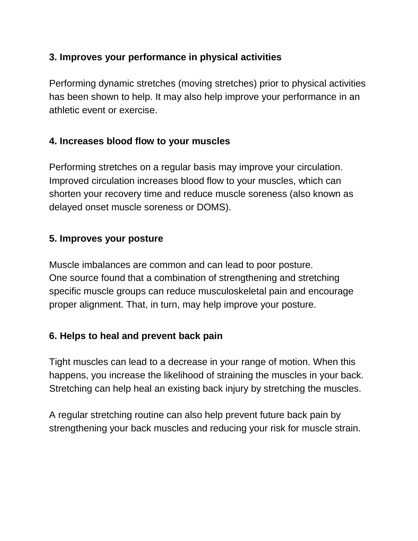### **3. Improves your performance in physical activities**

Performing dynamic stretches (moving stretches) prior to physical activities has been shown to help. It may also help improve your performance in an athletic event or exercise.

#### **4. Increases blood flow to your muscles**

Performing stretches on a regular basis [may improve your circulation.](https://www.ncbi.nlm.nih.gov/pubmed/23676363) Improved circulation increases blood flow to your muscles, which can shorten your recovery time and [reduce muscle soreness](https://www.healthline.com/health/5-recovery-tips-prevent-muscle-soreness) (also known as delayed onset muscle soreness or DOMS).

#### **5. Improves your posture**

Muscle imbalances are common and can lead to poor [posture.](https://www.healthline.com/health/fitness-exercises/stretches-for-posture) One [source](https://www.ncbi.nlm.nih.gov/pmc/articles/PMC4499985/) found that a combination of strengthening and stretching specific muscle groups can reduce musculoskeletal pain and encourage proper alignment. That, in turn, may help improve your posture.

### **6. Helps to heal and prevent back pain**

Tight muscles can lead to a decrease in your range of motion. When this happens, you increase the likelihood of straining the muscles in your back. Stretching [can help heal](https://www.health.harvard.edu/healthbeat/stretching-and-strengthening-are-key-to-healing-and-preventing-back-pain) an existing back injury by stretching the muscles.

A regular [stretching routine](https://www.healthline.com/health/ankylosing-spondylitis/back-pain-stretches) can also help prevent future back pain by strengthening your back muscles and reducing your risk for muscle strain.